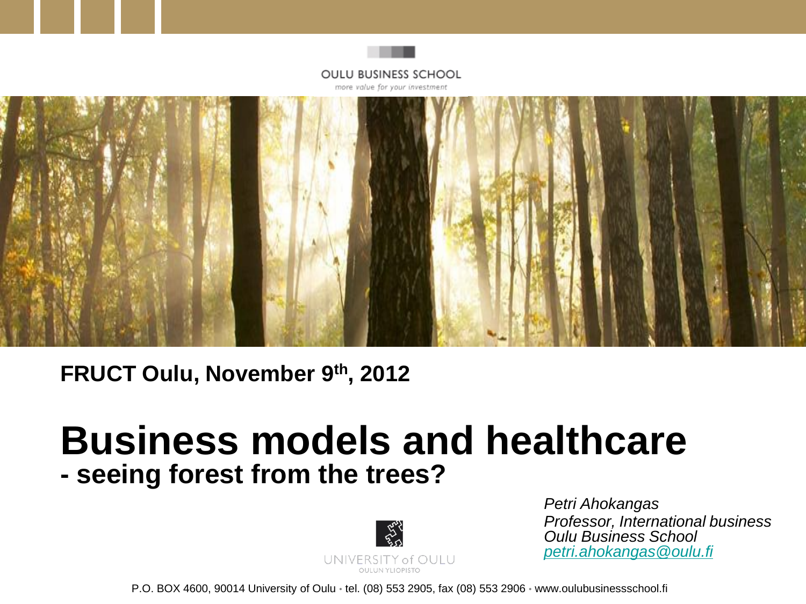

**FRUCT Oulu, November 9th, 2012**

#### **Business models and healthcare - seeing forest from the trees?**



*Petri Ahokangas Professor, International business Oulu Business School [petri.ahokangas@oulu.fi](mailto:petri.ahokangas@oulu.fi)*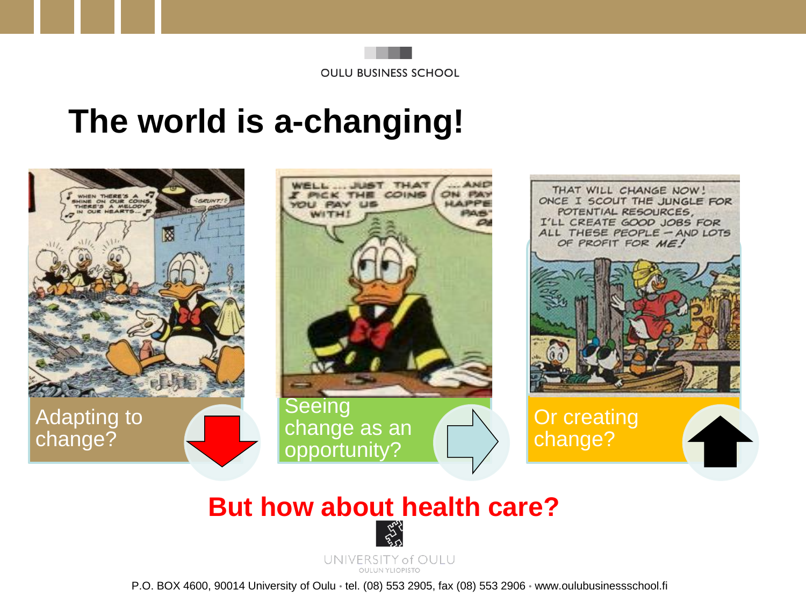**OULU BUSINESS SCHOOL** 

#### **The world is a-changing!**



**But how about health care?**

UNIVERSITY of OULU **OULUN YLIOPISTO**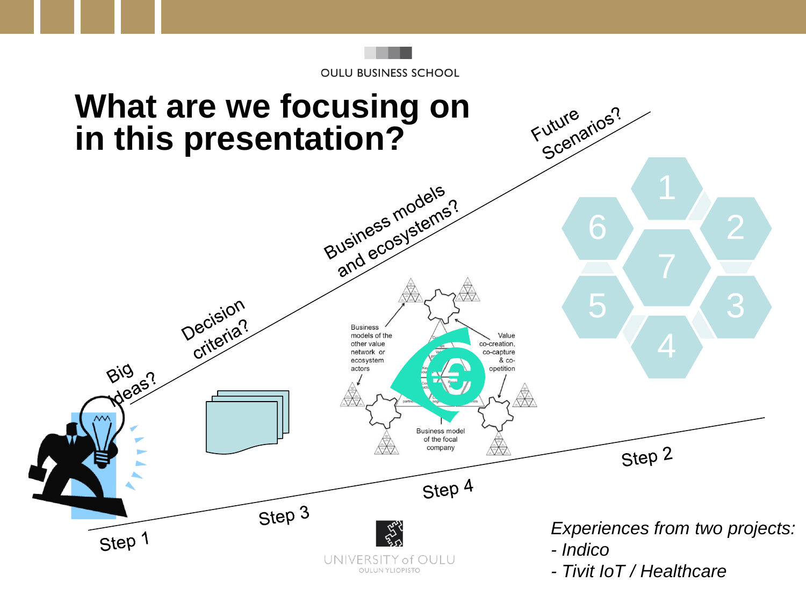

*- Tivit IoT / Healthcare*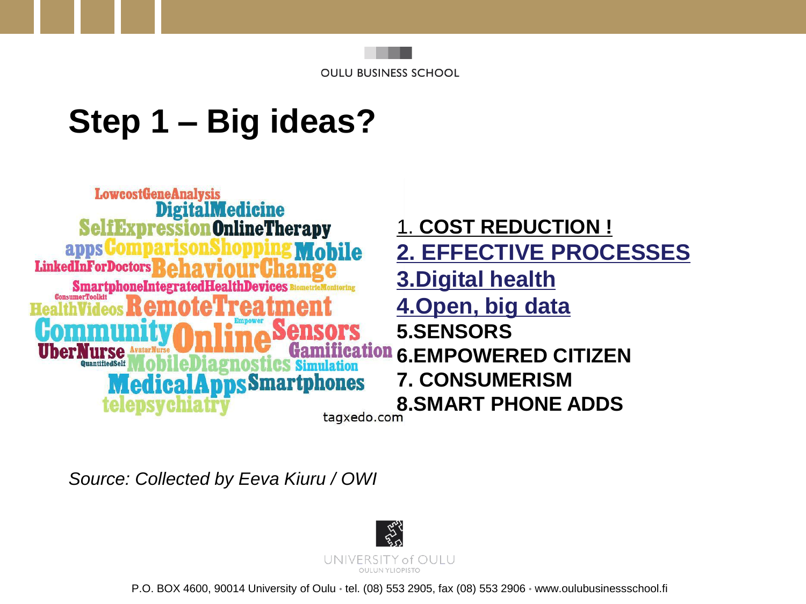

## **Step 1 – Big ideas?**

**LowcostGeneAnalysis DigitalM** ledicine 1. **COST REDUCTION !**  Settexo **OnlineTherapy** apps **2. EFFECTIVE PROCESSES LinkedInForDoctors 3.Digital health SmartphoneInter 4.Open, big data 5.SENSORS 6.EMPOWERED CITIZEN**  QuantifiedSelf **7. CONSUMERISM** ncomar **1es Med 8.SMART PHONE ADDS** telepsychiatr

*Source: Collected by Eeva Kiuru / OWI*

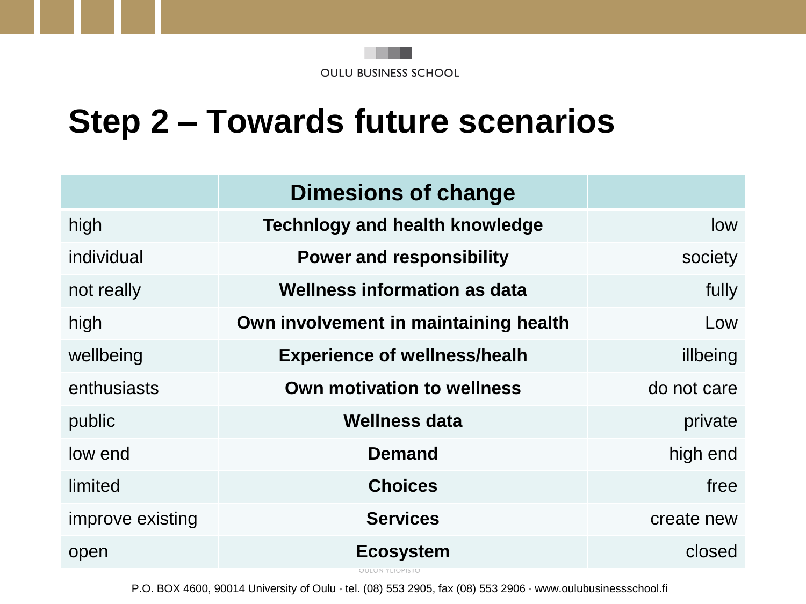

### **Step 2 – Towards future scenarios**

|                  | <b>Dimesions of change</b>            |             |
|------------------|---------------------------------------|-------------|
| high             | <b>Technlogy and health knowledge</b> | low         |
| individual       | <b>Power and responsibility</b>       | society     |
| not really       | <b>Wellness information as data</b>   | fully       |
| high             | Own involvement in maintaining health | Low         |
| wellbeing        | <b>Experience of wellness/healh</b>   | illbeing    |
| enthusiasts      | <b>Own motivation to wellness</b>     | do not care |
| public           | <b>Wellness data</b>                  | private     |
| low end          | <b>Demand</b>                         | high end    |
| limited          | <b>Choices</b>                        | free        |
| improve existing | <b>Services</b>                       | create new  |
| open             | <b>Ecosystem</b>                      | closed      |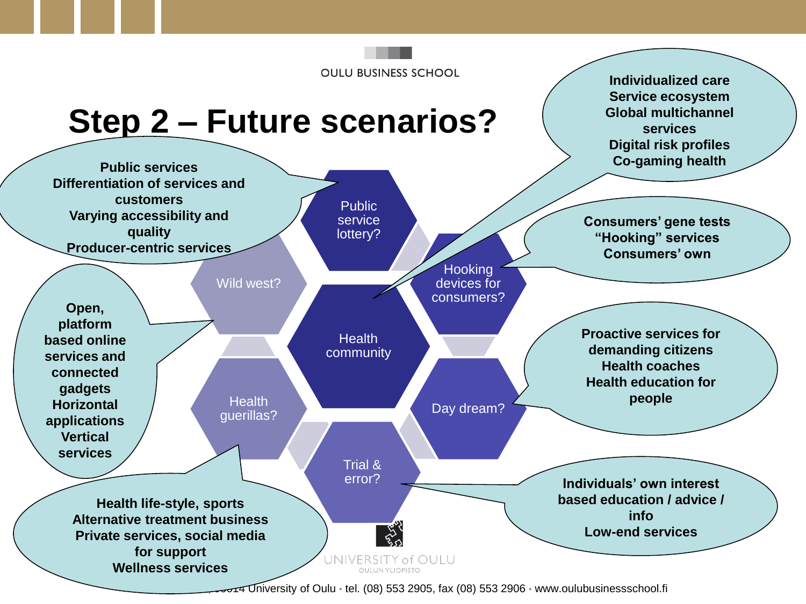

P.O. BOX 4600, 90014 University of Oulu • tel. (08) 553 2905, fax (08) 553 2906 • www.oulubusinessschool.fi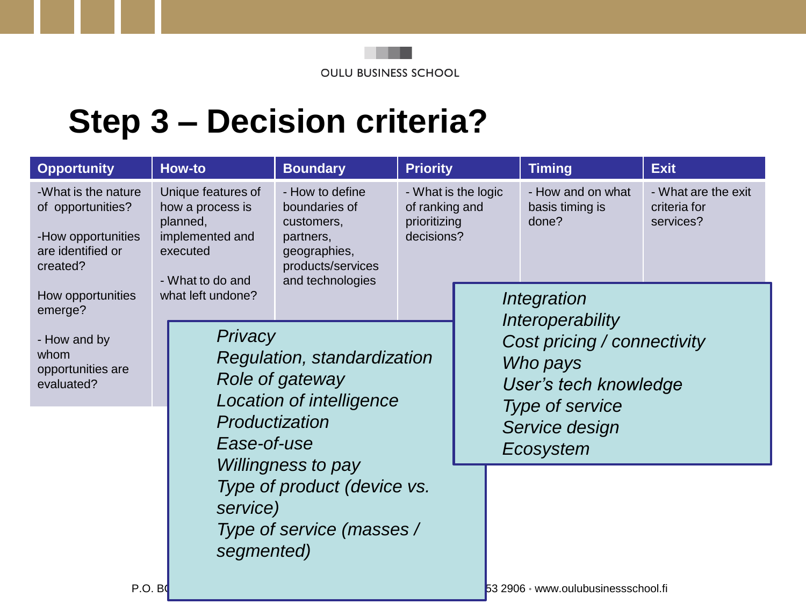

### **Step 3 – Decision criteria?**

| <b>Opportunity</b>                                                                              | <b>How-to</b> |                                                                                                                               | <b>Boundary</b>                                                                                                      | <b>Priority</b>                                                     |                                     | <b>Timing</b>                                                                                                                          | <b>Exit</b>                                      |  |
|-------------------------------------------------------------------------------------------------|---------------|-------------------------------------------------------------------------------------------------------------------------------|----------------------------------------------------------------------------------------------------------------------|---------------------------------------------------------------------|-------------------------------------|----------------------------------------------------------------------------------------------------------------------------------------|--------------------------------------------------|--|
| -What is the nature<br>of opportunities?<br>-How opportunities<br>are identified or<br>created? |               | Unique features of<br>how a process is<br>planned,<br>implemented and<br>executed<br>- What to do and                         | - How to define<br>boundaries of<br>customers,<br>partners,<br>geographies,<br>products/services<br>and technologies | - What is the logic<br>of ranking and<br>prioritizing<br>decisions? |                                     | - How and on what<br>basis timing is<br>done?                                                                                          | - What are the exit<br>criteria for<br>services? |  |
| How opportunities<br>emerge?                                                                    |               | what left undone?                                                                                                             |                                                                                                                      |                                                                     |                                     | Integration                                                                                                                            |                                                  |  |
| - How and by<br>whom<br>opportunities are<br>evaluated?                                         |               | Privacy<br>Regulation, standardization<br>Role of gateway<br><b>Location of intelligence</b><br>Productization<br>Ease-of-use |                                                                                                                      |                                                                     |                                     | Interoperability<br>Cost pricing / connectivity<br>Who pays<br>User's tech knowledge<br>Type of service<br>Service design<br>Ecosystem |                                                  |  |
|                                                                                                 |               | service)<br>segmented)                                                                                                        | <i>Willingness to pay</i><br>Type of product (device vs.<br>Type of service (masses /                                |                                                                     |                                     |                                                                                                                                        |                                                  |  |
| P.O.B                                                                                           |               |                                                                                                                               |                                                                                                                      |                                                                     | 53 2906 · www.oulubusinessschool.fi |                                                                                                                                        |                                                  |  |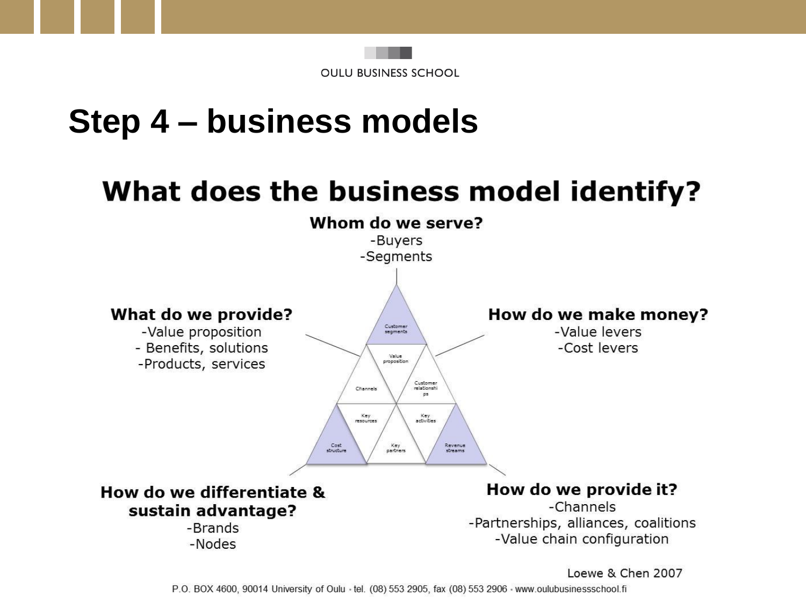

#### **Step 4 – business models**

#### What does the business model identify?

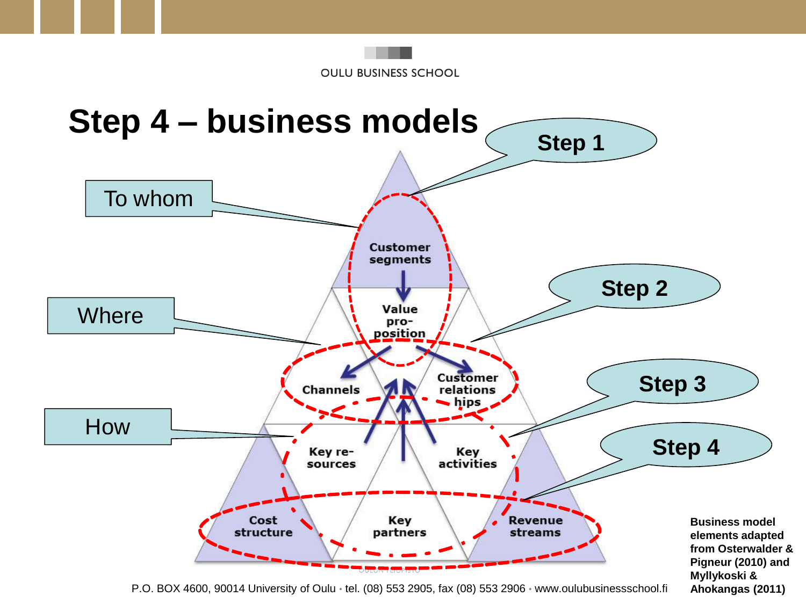



P.O. BOX 4600, 90014 University of Oulu • tel. (08) 553 2905, fax (08) 553 2906 • www.oulubusinessschool.fi

**Ahokangas (2011)**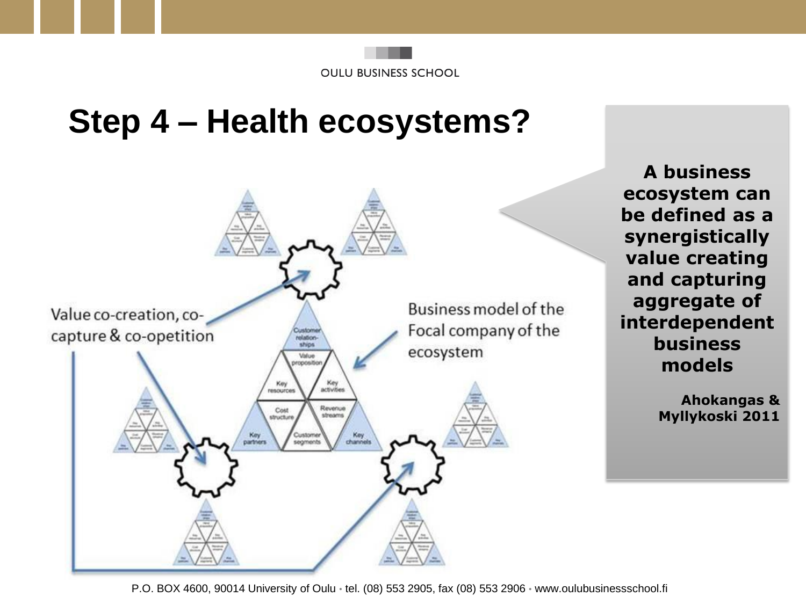#### **OULU BUSINESS SCHOOL**

#### **Step 4 – Health ecosystems?**



**A business ecosystem can be defined as a synergistically value creating and capturing aggregate of interdependent business models**

> **Ahokangas & Myllykoski 2011**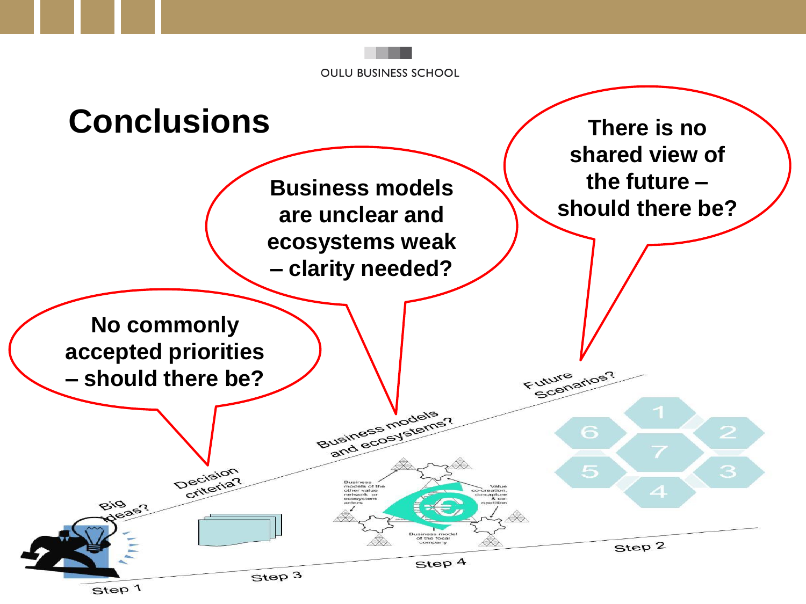**OULU BUSINESS SCHOOL**